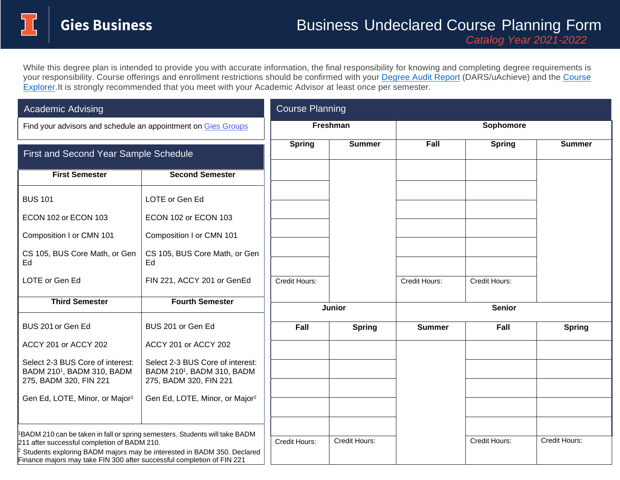## Business Undeclared Course Planning Form

While this degree plan is intended to provide you with accurate information, the final responsibility for knowing and completing degree requirements is your responsibility. Course offerings and enrollment restrictions should be confirmed with your [Degree Audit](https://registrar.illinois.edu/academic-records/dars-audit/) Report (DARS/uAchieve) and the [Course](https://courses.illinois.edu/) [Explorer.I](https://courses.illinois.edu/)t is strongly recommended that you meet with your Academic Advisor at least once per semester.

| <b>Academic Advising</b>                                                                                                                                                                                                                                                                                 |                                                                                                      | <b>Course Planning</b> |               |               |               |               |
|----------------------------------------------------------------------------------------------------------------------------------------------------------------------------------------------------------------------------------------------------------------------------------------------------------|------------------------------------------------------------------------------------------------------|------------------------|---------------|---------------|---------------|---------------|
| Find your advisors and schedule an appointment on Gies Groups                                                                                                                                                                                                                                            |                                                                                                      | <b>Freshman</b>        |               | Sophomore     |               |               |
| First and Second Year Sample Schedule                                                                                                                                                                                                                                                                    |                                                                                                      | <b>Spring</b>          | <b>Summer</b> | Fall          | <b>Spring</b> | <b>Summer</b> |
| <b>First Semester</b>                                                                                                                                                                                                                                                                                    | <b>Second Semester</b>                                                                               |                        |               |               |               |               |
| <b>BUS 101</b>                                                                                                                                                                                                                                                                                           | LOTE or Gen Ed                                                                                       |                        |               |               |               |               |
| ECON 102 or ECON 103                                                                                                                                                                                                                                                                                     | ECON 102 or ECON 103                                                                                 |                        |               |               |               |               |
| Composition I or CMN 101                                                                                                                                                                                                                                                                                 | Composition I or CMN 101                                                                             |                        |               |               |               |               |
| CS 105, BUS Core Math, or Gen<br>Ed                                                                                                                                                                                                                                                                      | CS 105, BUS Core Math, or Gen<br>Ed                                                                  |                        |               |               |               |               |
| LOTE or Gen Ed                                                                                                                                                                                                                                                                                           | FIN 221, ACCY 201 or GenEd                                                                           | Credit Hours:          |               | Credit Hours: | Credit Hours: |               |
| <b>Third Semester</b>                                                                                                                                                                                                                                                                                    | <b>Fourth Semester</b>                                                                               | <b>Junior</b>          |               | <b>Senior</b> |               |               |
| BUS 201 or Gen Ed                                                                                                                                                                                                                                                                                        | BUS 201 or Gen Ed                                                                                    | Fall                   | <b>Spring</b> | <b>Summer</b> | Fall          | <b>Spring</b> |
| ACCY 201 or ACCY 202                                                                                                                                                                                                                                                                                     | ACCY 201 or ACCY 202                                                                                 |                        |               |               |               |               |
| Select 2-3 BUS Core of interest:<br>BADM 210 <sup>1</sup> , BADM 310, BADM<br>275, BADM 320, FIN 221                                                                                                                                                                                                     | Select 2-3 BUS Core of interest:<br>BADM 210 <sup>1</sup> , BADM 310, BADM<br>275, BADM 320, FIN 221 |                        |               |               |               |               |
| Gen Ed, LOTE, Minor, or Major <sup>2</sup>                                                                                                                                                                                                                                                               | Gen Ed, LOTE, Minor, or Major <sup>2</sup>                                                           |                        |               |               |               |               |
|                                                                                                                                                                                                                                                                                                          |                                                                                                      |                        |               |               |               |               |
| <sup>1</sup> BADM 210 can be taken in fall or spring semesters. Students will take BADM<br>211 after successful completion of BADM 210.<br><sup>2</sup> Students exploring BADM majors may be interested in BADM 350. Declared<br>Finance majors may take FIN 300 after successful completion of FIN 221 |                                                                                                      | Credit Hours:          | Credit Hours: |               | Credit Hours: | Credit Hours: |